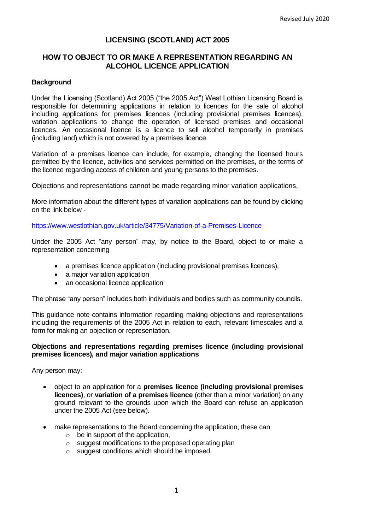# **LICENSING (SCOTLAND) ACT 2005**

## **HOW TO OBJECT TO OR MAKE A REPRESENTATION REGARDING AN ALCOHOL LICENCE APPLICATION**

### **Background**

Under the Licensing (Scotland) Act 2005 ("the 2005 Act") West Lothian Licensing Board is responsible for determining applications in relation to licences for the sale of alcohol including applications for premises licences (including provisional premises licences), variation applications to change the operation of licensed premises and occasional licences. An occasional licence is a licence to sell alcohol temporarily in premises (including land) which is not covered by a premises licence.

Variation of a premises licence can include, for example, changing the licensed hours permitted by the licence, activities and services permitted on the premises, or the terms of the licence regarding access of children and young persons to the premises.

Objections and representations cannot be made regarding minor variation applications,

More information about the different types of variation applications can be found by clicking on the link below -

<https://www.westlothian.gov.uk/article/34775/Variation-of-a-Premises-Licence>

Under the 2005 Act "any person" may, by notice to the Board, object to or make a representation concerning

- a premises licence application (including provisional premises licences),
- a major variation application
- an occasional licence application

The phrase "any person" includes both individuals and bodies such as community councils.

This guidance note contains information regarding making objections and representations including the requirements of the 2005 Act in relation to each, relevant timescales and a form for making an objection or representation.

#### **Objections and representations regarding premises licence (including provisional premises licences), and major variation applications**

Any person may:

- object to an application for a **premises licence (including provisional premises licences)**, or **variation of a premises licence** (other than a minor variation) on any ground relevant to the grounds upon which the Board can refuse an application under the 2005 Act (see below).
- make representations to the Board concerning the application, these can
	- $\circ$  be in support of the application,
	- o suggest modifications to the proposed operating plan
	- o suggest conditions which should be imposed.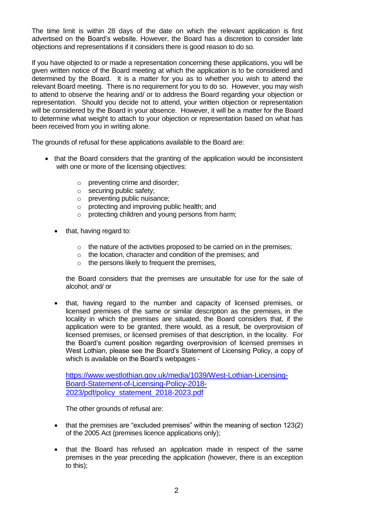The time limit is within 28 days of the date on which the relevant application is first advertised on the Board's website. However, the Board has a discretion to consider late objections and representations if it considers there is good reason to do so.

If you have objected to or made a representation concerning these applications, you will be given written notice of the Board meeting at which the application is to be considered and determined by the Board. It is a matter for you as to whether you wish to attend the relevant Board meeting. There is no requirement for you to do so. However, you may wish to attend to observe the hearing and/ or to address the Board regarding your objection or representation. Should you decide not to attend, your written objection or representation will be considered by the Board in your absence. However, it will be a matter for the Board to determine what weight to attach to your objection or representation based on what has been received from you in writing alone.

The grounds of refusal for these applications available to the Board are:

- that the Board considers that the granting of the application would be inconsistent with one or more of the licensing objectives:
	- o preventing crime and disorder;
	- o securing public safety;
	- o preventing public nuisance;
	- o protecting and improving public health; and
	- o protecting children and young persons from harm;
	- that, having regard to:
		- $\circ$  the nature of the activities proposed to be carried on in the premises;
		- o the location, character and condition of the premises; and
		- $\circ$  the persons likely to frequent the premises,

the Board considers that the premises are unsuitable for use for the sale of alcohol; and/ or

• that, having regard to the number and capacity of licensed premises, or licensed premises of the same or similar description as the premises, in the locality in which the premises are situated, the Board considers that, if the application were to be granted, there would, as a result, be overprovision of licensed premises, or licensed premises of that description, in the locality. For the Board's current position regarding overprovision of licensed premises in West Lothian, please see the Board's Statement of Licensing Policy, a copy of which is available on the Board's webpages -

[https://www.westlothian.gov.uk/media/1039/West-Lothian-Licensing-](https://www.westlothian.gov.uk/media/1039/West-Lothian-Licensing-Board-Statement-of-Licensing-Policy-2018-2023/pdf/policy_statement_2018-2023.pdf)[Board-Statement-of-Licensing-Policy-2018-](https://www.westlothian.gov.uk/media/1039/West-Lothian-Licensing-Board-Statement-of-Licensing-Policy-2018-2023/pdf/policy_statement_2018-2023.pdf) [2023/pdf/policy\\_statement\\_2018-2023.pdf](https://www.westlothian.gov.uk/media/1039/West-Lothian-Licensing-Board-Statement-of-Licensing-Policy-2018-2023/pdf/policy_statement_2018-2023.pdf)

The other grounds of refusal are:

- that the premises are "excluded premises" within the meaning of section 123(2) of the 2005 Act (premises licence applications only);
- that the Board has refused an application made in respect of the same premises in the year preceding the application (however, there is an exception to this);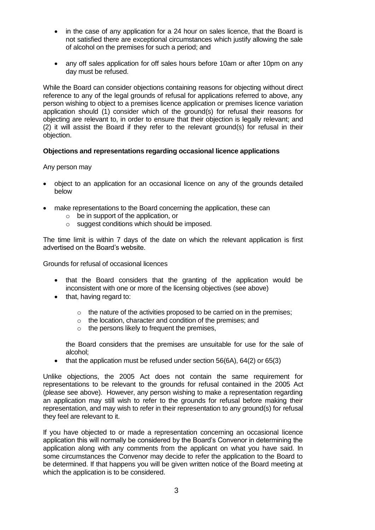- in the case of any application for a 24 hour on sales licence, that the Board is not satisfied there are exceptional circumstances which justify allowing the sale of alcohol on the premises for such a period; and
- any off sales application for off sales hours before 10am or after 10pm on any day must be refused.

While the Board can consider objections containing reasons for objecting without direct reference to any of the legal grounds of refusal for applications referred to above, any person wishing to object to a premises licence application or premises licence variation application should (1) consider which of the ground(s) for refusal their reasons for objecting are relevant to, in order to ensure that their objection is legally relevant; and (2) it will assist the Board if they refer to the relevant ground(s) for refusal in their objection.

### **Objections and representations regarding occasional licence applications**

Any person may

- object to an application for an occasional licence on any of the grounds detailed below
- make representations to the Board concerning the application, these can
	- $\circ$  be in support of the application, or
	- o suggest conditions which should be imposed.

The time limit is within 7 days of the date on which the relevant application is first advertised on the Board's website.

Grounds for refusal of occasional licences

- that the Board considers that the granting of the application would be inconsistent with one or more of the licensing objectives (see above)
- that, having regard to:
	- $\circ$  the nature of the activities proposed to be carried on in the premises;
	- o the location, character and condition of the premises; and
	- $\circ$  the persons likely to frequent the premises,

the Board considers that the premises are unsuitable for use for the sale of alcohol;

• that the application must be refused under section 56(6A), 64(2) or 65(3)

Unlike objections, the 2005 Act does not contain the same requirement for representations to be relevant to the grounds for refusal contained in the 2005 Act (please see above). However, any person wishing to make a representation regarding an application may still wish to refer to the grounds for refusal before making their representation, and may wish to refer in their representation to any ground(s) for refusal they feel are relevant to it.

If you have objected to or made a representation concerning an occasional licence application this will normally be considered by the Board's Convenor in determining the application along with any comments from the applicant on what you have said. In some circumstances the Convenor may decide to refer the application to the Board to be determined. If that happens you will be given written notice of the Board meeting at which the application is to be considered.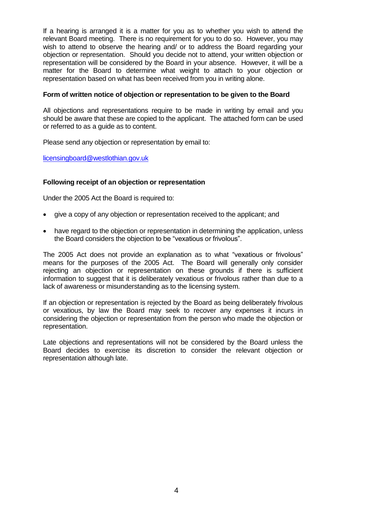If a hearing is arranged it is a matter for you as to whether you wish to attend the relevant Board meeting. There is no requirement for you to do so. However, you may wish to attend to observe the hearing and/ or to address the Board regarding your objection or representation. Should you decide not to attend, your written objection or representation will be considered by the Board in your absence. However, it will be a matter for the Board to determine what weight to attach to your objection or representation based on what has been received from you in writing alone.

### **Form of written notice of objection or representation to be given to the Board**

All objections and representations require to be made in writing by email and you should be aware that these are copied to the applicant. The attached form can be used or referred to as a guide as to content.

Please send any objection or representation by email to:

[licensingboard@westlothian.gov.uk](mailto:licensingboard@westlothian.gov.uk)

### **Following receipt of an objection or representation**

Under the 2005 Act the Board is required to:

- give a copy of any objection or representation received to the applicant; and
- have regard to the objection or representation in determining the application, unless the Board considers the objection to be "vexatious or frivolous".

The 2005 Act does not provide an explanation as to what "vexatious or frivolous" means for the purposes of the 2005 Act. The Board will generally only consider rejecting an objection or representation on these grounds if there is sufficient information to suggest that it is deliberately vexatious or frivolous rather than due to a lack of awareness or misunderstanding as to the licensing system.

If an objection or representation is rejected by the Board as being deliberately frivolous or vexatious, by law the Board may seek to recover any expenses it incurs in considering the objection or representation from the person who made the objection or representation.

Late objections and representations will not be considered by the Board unless the Board decides to exercise its discretion to consider the relevant objection or representation although late.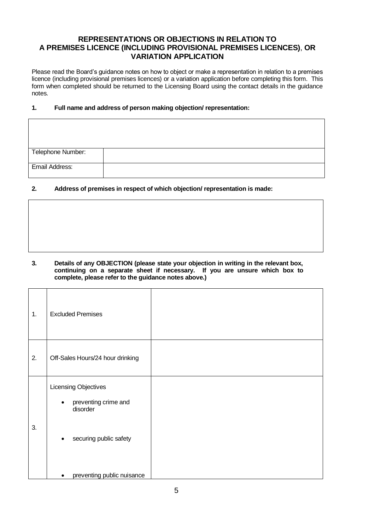# **REPRESENTATIONS OR OBJECTIONS IN RELATION TO A PREMISES LICENCE (INCLUDING PROVISIONAL PREMISES LICENCES)**, **OR VARIATION APPLICATION**

Please read the Board's guidance notes on how to object or make a representation in relation to a premises licence (including provisional premises licences) or a variation application before completing this form. This form when completed should be returned to the Licensing Board using the contact details in the guidance notes.

#### **1. Full name and address of person making objection/ representation:**

| Telephone Number: |  |
|-------------------|--|
|                   |  |
| Email Address:    |  |
|                   |  |

### **2. Address of premises in respect of which objection/ representation is made:**

**3. Details of any OBJECTION (please state your objection in writing in the relevant box, continuing on a separate sheet if necessary. If you are unsure which box to complete, please refer to the guidance notes above.)**

| 1. | <b>Excluded Premises</b>                                                                                     |
|----|--------------------------------------------------------------------------------------------------------------|
| 2. | Off-Sales Hours/24 hour drinking                                                                             |
| 3. | Licensing Objectives<br>preventing crime and<br>$\bullet$<br>disorder<br>securing public safety<br>$\bullet$ |
|    | preventing public nuisance<br>٠                                                                              |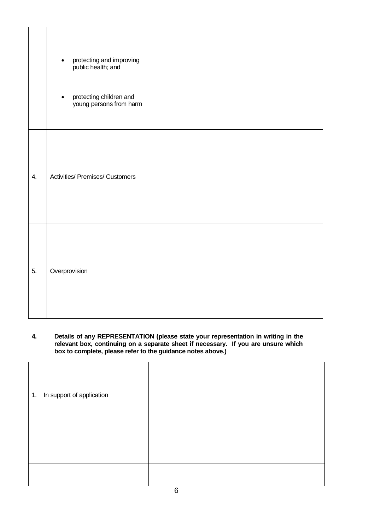|                  | protecting and improving<br>public health; and<br>$\bullet$<br>protecting children and<br>young persons from harm<br>$\bullet$ |  |
|------------------|--------------------------------------------------------------------------------------------------------------------------------|--|
| $\overline{4}$ . | <b>Activities/ Premises/ Customers</b>                                                                                         |  |
| 5.               | Overprovision                                                                                                                  |  |

#### **4. Details of any REPRESENTATION (please state your representation in writing in the relevant box, continuing on a separate sheet if necessary. If you are unsure which box to complete, please refer to the guidance notes above.)**

| 1. | In support of application |  |
|----|---------------------------|--|
|    |                           |  |
|    |                           |  |
|    |                           |  |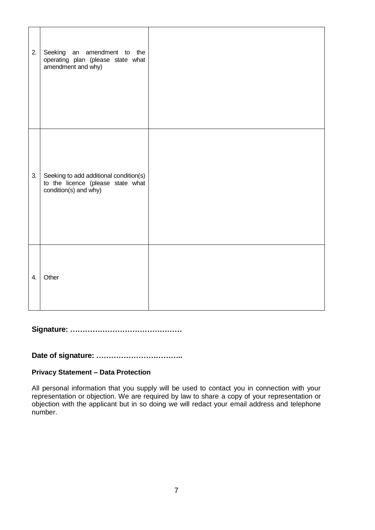| 2. | Seeking an amendment to the<br>operating plan (please state what<br>amendment and why)               |  |
|----|------------------------------------------------------------------------------------------------------|--|
| 3. | Seeking to add additional condition(s)<br>to the licence (please state what<br>condition(s) and why) |  |
| 4. | Other                                                                                                |  |

**Signature: ………………………………………**

**Date of signature: ……………………………..**

# **Privacy Statement – Data Protection**

All personal information that you supply will be used to contact you in connection with your representation or objection. We are required by law to share a copy of your representation or objection with the applicant but in so doing we will redact your email address and telephone number.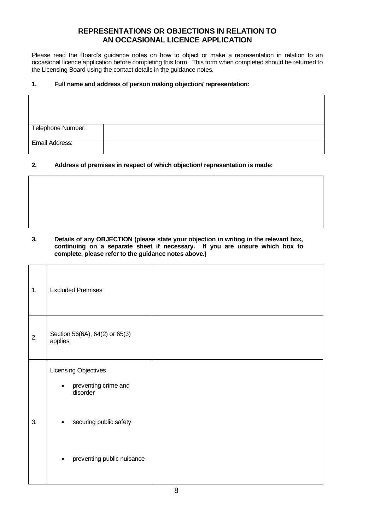# **REPRESENTATIONS OR OBJECTIONS IN RELATION TO AN OCCASIONAL LICENCE APPLICATION**

Please read the Board's guidance notes on how to object or make a representation in relation to an occasional licence application before completing this form. This form when completed should be returned to the Licensing Board using the contact details in the guidance notes.

#### **1. Full name and address of person making objection/ representation:**

| Telephone Number: |  |
|-------------------|--|
| Email Address:    |  |

### **2. Address of premises in respect of which objection/ representation is made:**

**3. Details of any OBJECTION (please state your objection in writing in the relevant box,**  continuing on a separate sheet if necessary. If you are unsure which box to **complete, please refer to the guidance notes above.)**

| 1. | <b>Excluded Premises</b>                                              |  |
|----|-----------------------------------------------------------------------|--|
| 2. | Section 56(6A), 64(2) or 65(3)<br>applies                             |  |
|    | Licensing Objectives<br>preventing crime and<br>$\bullet$<br>disorder |  |
| 3. | securing public safety<br>$\bullet$                                   |  |
|    | preventing public nuisance<br>$\bullet$                               |  |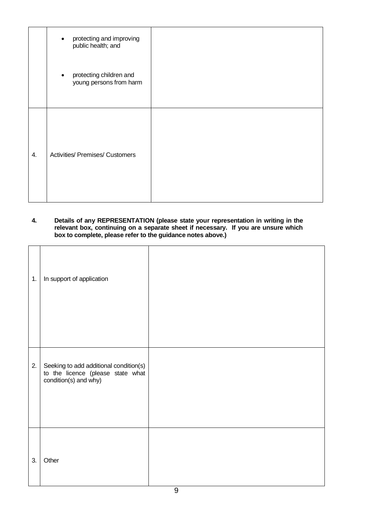|    | protecting and improving<br>$\bullet$<br>public health; and     |  |
|----|-----------------------------------------------------------------|--|
|    | protecting children and<br>$\bullet$<br>young persons from harm |  |
| 4. | <b>Activities/ Premises/ Customers</b>                          |  |

#### **4. Details of any REPRESENTATION (please state your representation in writing in the relevant box, continuing on a separate sheet if necessary. If you are unsure which box to complete, please refer to the guidance notes above.)**

| 1.<br>2. | In support of application<br>Seeking to add additional condition(s)<br>to the licence (please state what |  |
|----------|----------------------------------------------------------------------------------------------------------|--|
| 3.       | condition(s) and why)<br>Other                                                                           |  |